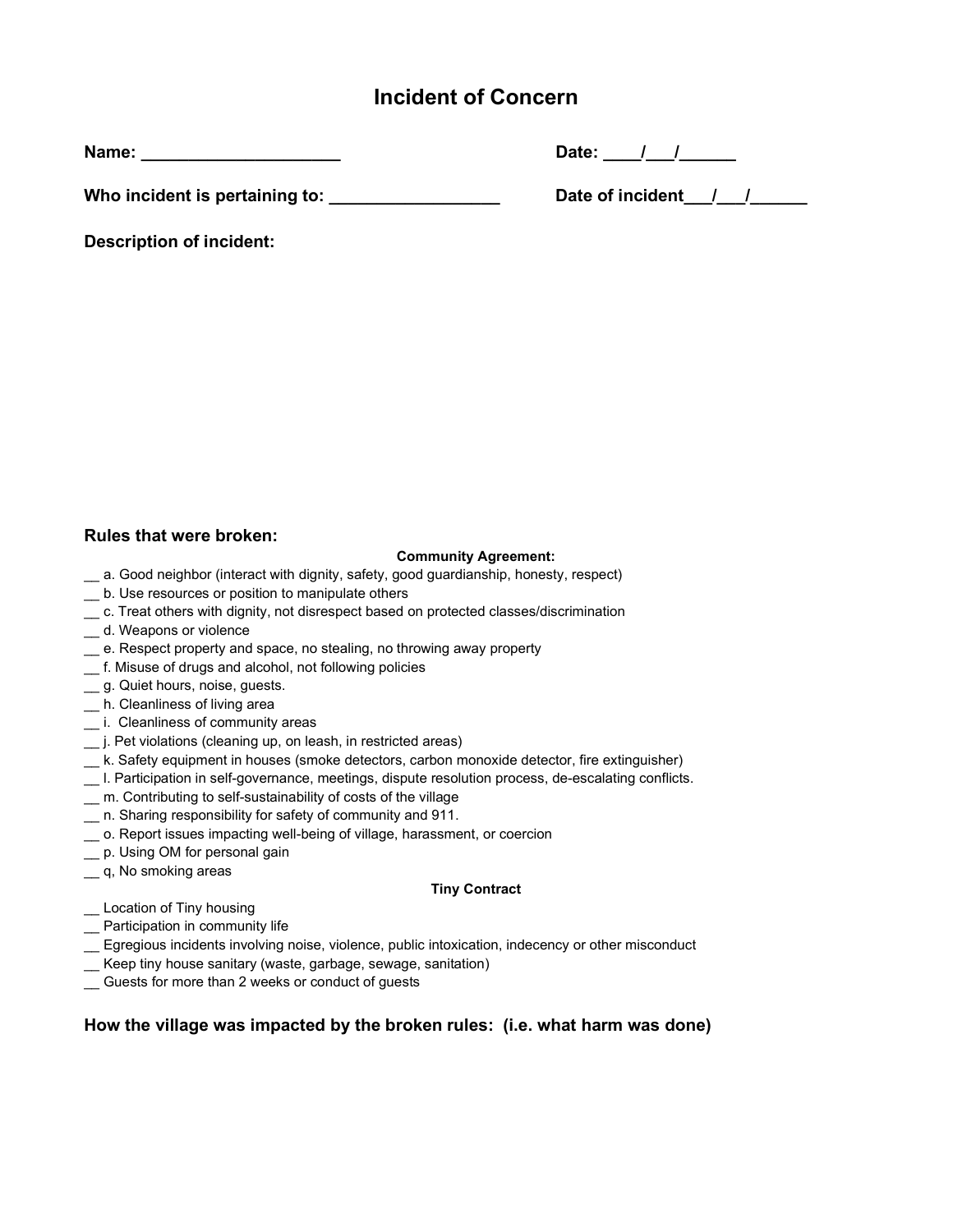# Incident of Concern

Name: \_\_\_\_\_\_\_\_\_\_\_\_\_\_\_\_\_\_\_\_\_ Date: \_\_\_\_/\_\_\_/\_\_\_\_\_\_

Who incident is pertaining to: \_\_\_\_\_\_\_\_\_\_\_\_\_\_\_\_\_\_ Date of incident\_\_\_/\_\_\_/\_\_\_\_\_\_

| Date of incident |  |
|------------------|--|
|------------------|--|

Description of incident:

### Rules that were broken:

#### Community Agreement:

- \_\_ a. Good neighbor (interact with dignity, safety, good guardianship, honesty, respect)
- \_\_ b. Use resources or position to manipulate others
- \_\_ c. Treat others with dignity, not disrespect based on protected classes/discrimination
- \_\_ d. Weapons or violence
- \_\_ e. Respect property and space, no stealing, no throwing away property
- \_\_ f. Misuse of drugs and alcohol, not following policies
- \_\_ g. Quiet hours, noise, guests.
- \_\_ h. Cleanliness of living area
- \_\_ i. Cleanliness of community areas
- \_\_ j. Pet violations (cleaning up, on leash, in restricted areas)
- \_\_ k. Safety equipment in houses (smoke detectors, carbon monoxide detector, fire extinguisher)
- \_\_ l. Participation in self-governance, meetings, dispute resolution process, de-escalating conflicts.
- \_\_ m. Contributing to self-sustainability of costs of the village
- \_\_ n. Sharing responsibility for safety of community and 911.
- \_\_ o. Report issues impacting well-being of village, harassment, or coercion
- \_\_ p. Using OM for personal gain
- \_\_ q, No smoking areas

#### Tiny Contract

- \_\_ Location of Tiny housing
- \_\_ Participation in community life
- \_\_ Egregious incidents involving noise, violence, public intoxication, indecency or other misconduct
- \_\_ Keep tiny house sanitary (waste, garbage, sewage, sanitation)
- \_\_ Guests for more than 2 weeks or conduct of guests

### How the village was impacted by the broken rules: (i.e. what harm was done)